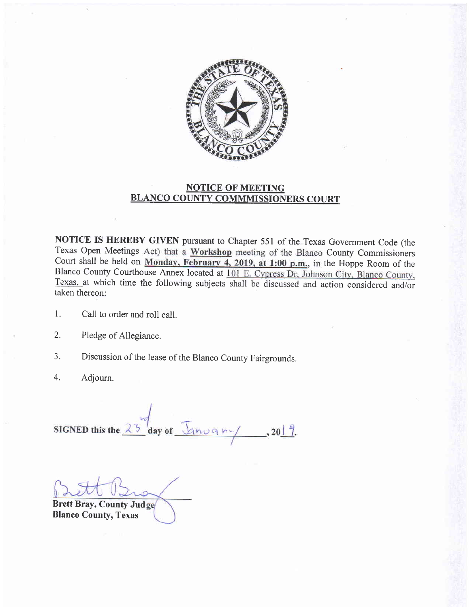

## NOTICE OF MEETING BLANCO COUNTY COMMMISSIONERS COURT

NOTICE IS HEREBY GIVEN pursuant to Chapter 551 of the Texas Government Code (the Texas Open Meetings Act) that a Workshop meeting of the Blanco County Commissioners Court shall be held on Monday, February 4, 2019, at 1:00 p.m., in the Hoppe Room of the Blanco County Courthouse Annex located at 101 E. Cypress Dr, Johnson City, Blanco County, Texas. at which time the following subjects shall be discussed and action considered and/or taken thereon:

- l. Call to order and roll call.
- Pledge of Allegiance. 2.
- Discussion of the lease of the Blanco County Fairgrounds. 3.
- Adjourn. 4.

SIGNED this the  $\frac{10}{23}$  day of  $\frac{1}{2}$  on  $\frac{10}{2}$ , 2019.

Brett Bray, County Jud

Blanco County, Texas